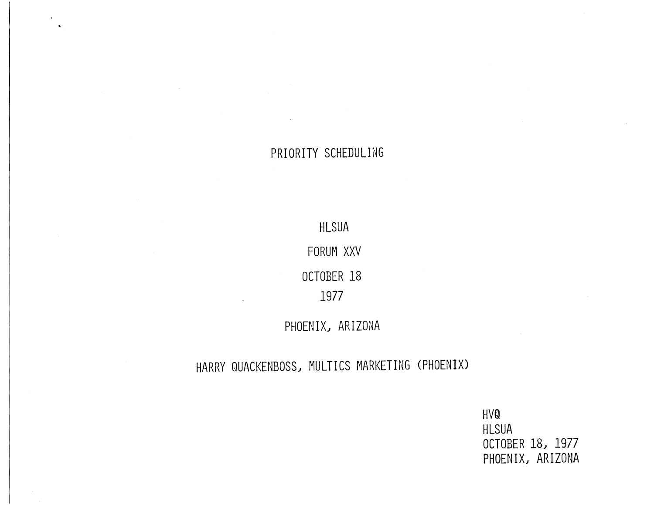# PRIORITY SCHEDULING

HLSUA

FORUM XXV

OCTOBER 18

1977

PHOENIX, ARIZONA

HARRY OUACKENBOSS, MULTICS MARKETING <PHOENIX)

HVQ HLSUA OCTOBER 18, 1977 PHOENIX, ARIZONA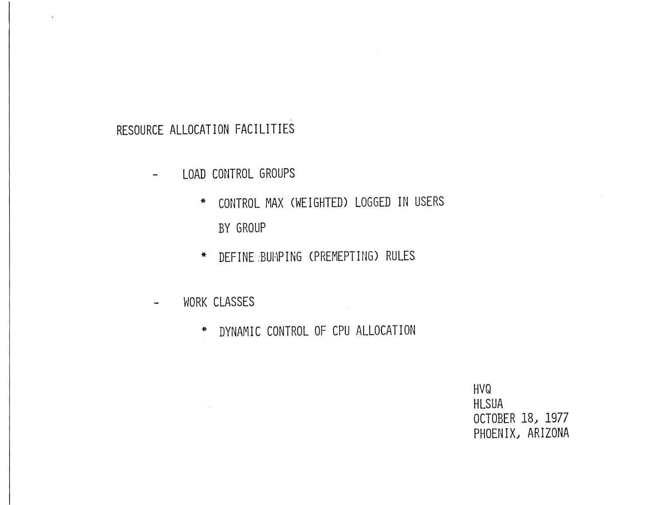# RESOURCE ALLOCATION FACILITIES

- LOAD CONTROL GROUPS  $\qquad \qquad -$ 
	- \* CONTROL MAX CWEIGHTED) LOGGED IN USERS BY GROUP
	- \* DEFINE:BUMPING CPREMEPTING) RULES
- WORK CLASSES
	- \* DYNAMIC CONTROL OF CPU ALLOCATION

HVQ HLSUA OCTOBER 18, 1977 PHOENIX) ARIZONA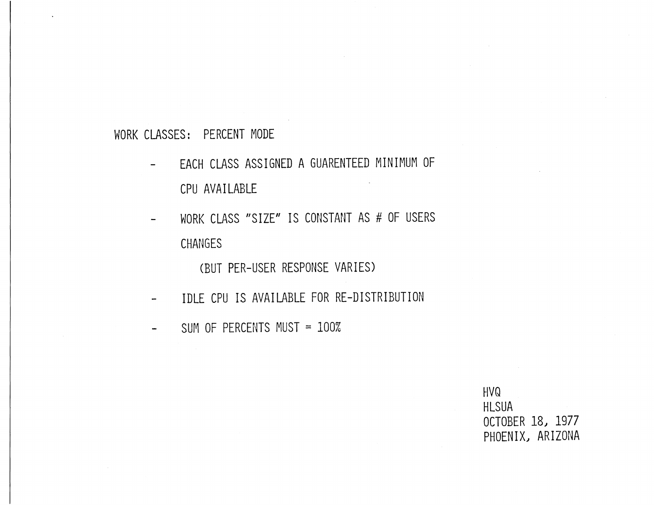### WORK CLASSES: PERCENT MODE

- EACH CLASS ASSIGNED A GUARENTEED MINIMUM OF  $\overline{\phantom{0}}$ CPU AVAILABLE
- WORK CLASS "SIZE" IS CONSTANT AS # OF USERS  $-$ CHANGES

CBUT PER-USER RESPONSE VARIES)

- IDLE CPU IS AVAILABLE FOR RE-DISTRIBUTION  $\overline{\phantom{m}}$
- SUM OF PERCENTS MUST = 100%  $\overline{\phantom{a}}$

HVQ HLSUA OCTOBER 18, 1977 PHOENIX, ARIZONA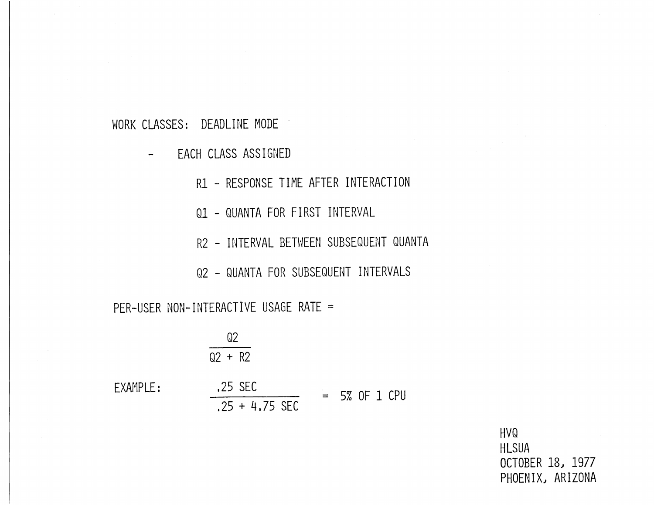WORK CLASSES: DEADLINE MODE

EACH CLASS ASSIGNED

Rl - RESPONSE TIME AFTER INTERACTION

Q1 - QUANTA FOR FIRST INTERVAL

R2 - INTERVAL BETWEEN SUBSEQUENT QUANTA

Q2 - QUANTA FOR SUBSEQUENT INTERVALS

PER-USER NON-INTERACTIVE USAGE RATE =

$$
\frac{Q2}{Q2 + R2}
$$

EXAMPLE:

.25 SEC  $.25 - 325$  = 5% OF 1 CPU

HVQ HLSUA OCTOBER 18} 1977 PHOENIX} ARIZONA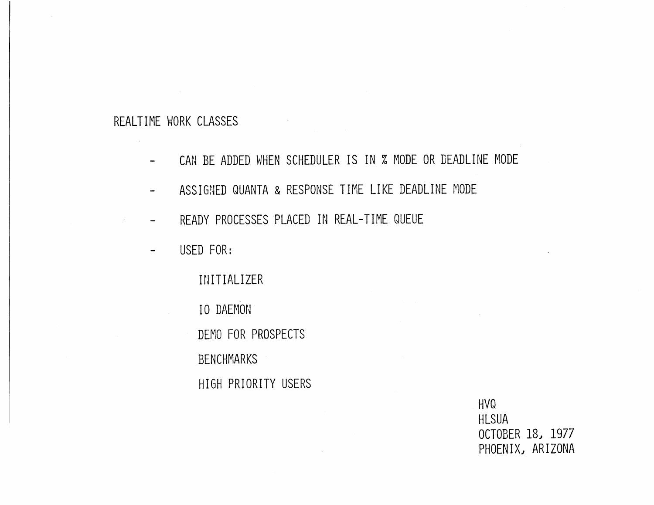### REALTIME WORK CLASSES

- CAN BE ADDED WHEN SCHEDULER IS IN % MODE OR DEADLINE MODE  $-$
- ASSIGNED QUANTA & RESPONSE TIME LIKE DEADLINE MODE  $\overline{\phantom{m}}$
- READY PROCESSES PLACED IN REAL-TIME QUEUE  $\overline{\phantom{a}}$
- USED FOR:  $\frac{1}{2}$

INITIALIZER

IO DAEMON

DEMO FOR PROSPECTS

**BENCHMARKS** 

HIGH PRIORITY USERS

**HVQ HLSUA** OCTOBER 18, 1977 PHOENIX, ARIZONA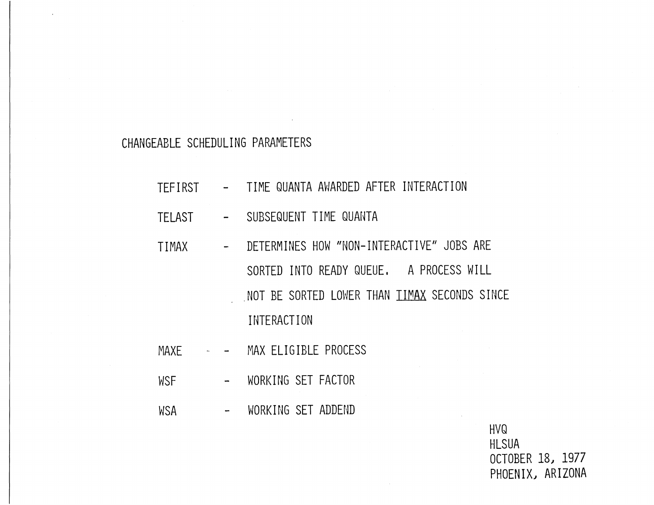#### CHANGEABLE SCHEDULING PARAMETERS

- TEFIRST TIME QUANTA AWARDED AFTER INTERACTION
- TELAST SUBSEQUENT TIME QUANTA
- TIMAX DETERMINES HOW "NON-INTERACTIVE" JOBS ARE SORTED INTO READY QUEUE. A PROCESS WILL .NOT BE SORTED LOWER THAN TIMAX SECONDS SINCE INTERACTION
- MAXE - MAX ELIGIBLE PROCESS
- WSF WORKING SET FACTOR
- WSA WORKING SET ADDEND

HVQ HLSUA OCTOBER 18, 1977 PHOENIX, ARIZONA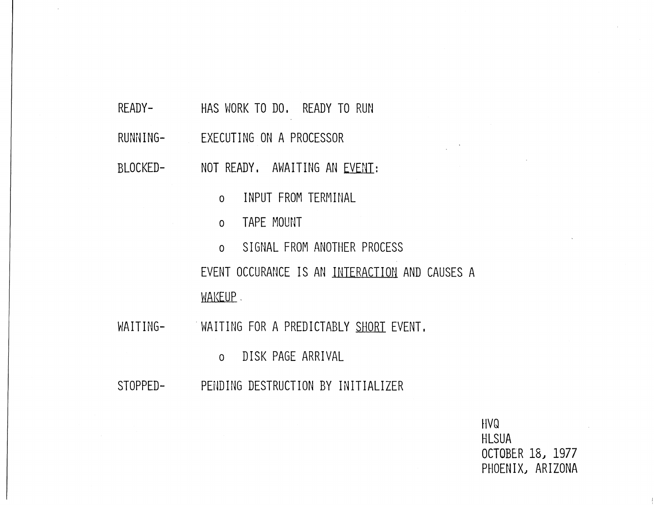READY-HAS WORK TO DO. READY TO RUN

RUNNING-EXECUTING ON A PROCESSOR

BLOCKED-NOT READY. AWAITING AN EVENT:

o INPUT FROM TERMINAL

o TAPE MOUNT

o SIGNAL FROM ANOTHER PROCESS EVENT OCCURANCE IS AN INTERACTION AND CAUSES A

WAKEUP .

WAITING-. WAITING FOR A PREDICTABLY SHORT EVENT.

o DISK PAGE ARRIVAL

STOPPED-PENDING DESTRUCTION BY INITIALIZER

> HVQ HLSUA OCTOBER 18, 1977 PHOENIX, ARIZONA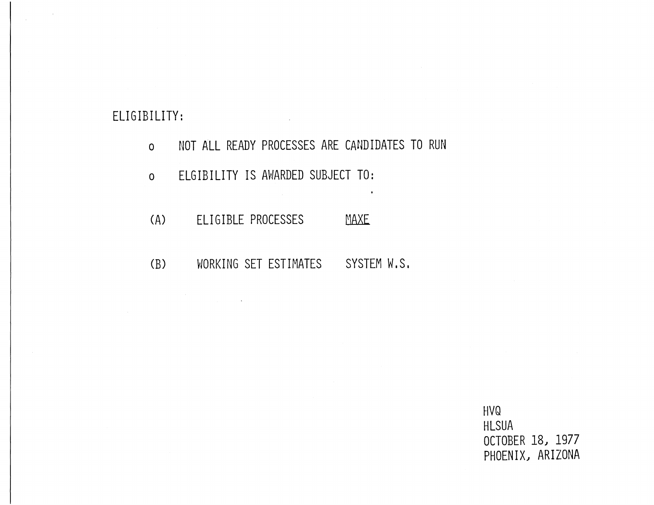# ELIGIBILITY:

| $\Omega$ | NOT ALL READY PROCESSES ARE CANDIDATES TO RUN |             |
|----------|-----------------------------------------------|-------------|
| $\Omega$ | ELGIBILITY IS AWARDED SUBJECT TO:             |             |
| (A)      | FLIGIBLE PROCESSES                            | MAXE.       |
| (B)      | WORKING SET ESTIMATES                         | SYSTEM W.S. |

 $\mathcal{L}$ 

HVQ HLSUA OCTOBER 18, 1977 PHOENIXJ ARIZONA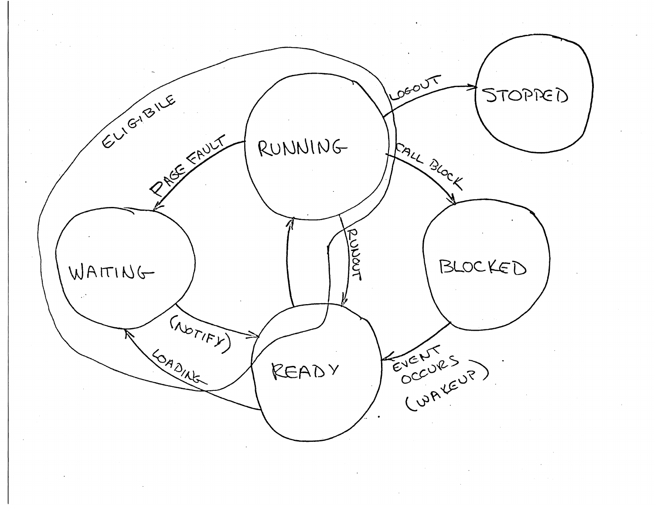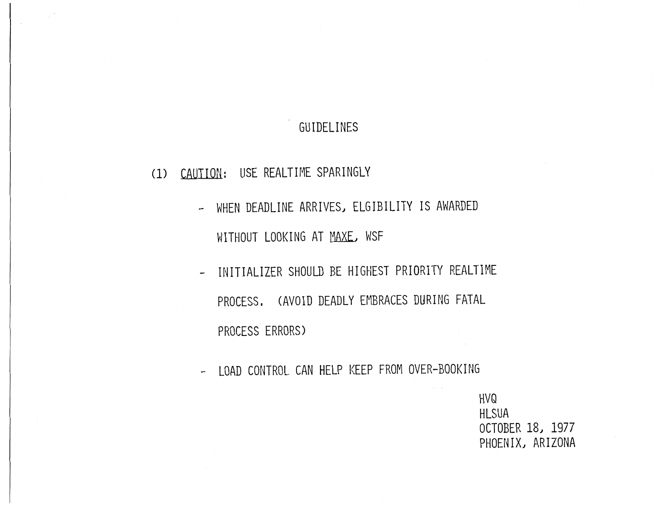## GUIDELINES

(1) CAUTION: USE REALTIME SPARINGLY

 $\frac{1}{\sqrt{2}}$  and

- WHEN DEADLINE ARRIVES, ELGIBILITY IS AWARDED WITHOUT LOOKING AT MAXE, WSF
- INITIALIZER SHOULD BE HIGHEST PRIORITY REALTIME PROCESS. (AVOID DEADLY EMBRACES DURING FATAL PROCESS ERRORS)
- LOAD CONTROL CAN HELP KEEP FROM OVER-BOOKING

HVQ HLSUA OCTOBER *18)* 1977 PHOENIX) ARIZONA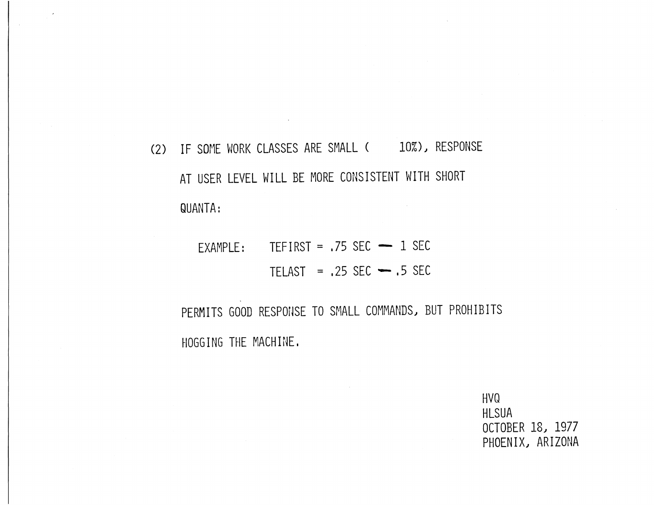(2) IF SOME WORK CLASSES ARE SMALL ( 10%), RESPONSE AT USER LEVEL WILL BE MORE CONSISTENT WITH SHORT QUANTA:

> $EXAMPLE:$  TEFIRST = .75 SEC - 1 SEC TELAST =  $.25$  SEC  $- .5$  SEC

PERMITS GOOD RESPONSE TO SMALL COMMANDS, BUT PROHIBITS HOGGING THE MACHINE.

> HVQ HLSUA OCTOBER 18, 1977 PHOENIXJ ARIZONA